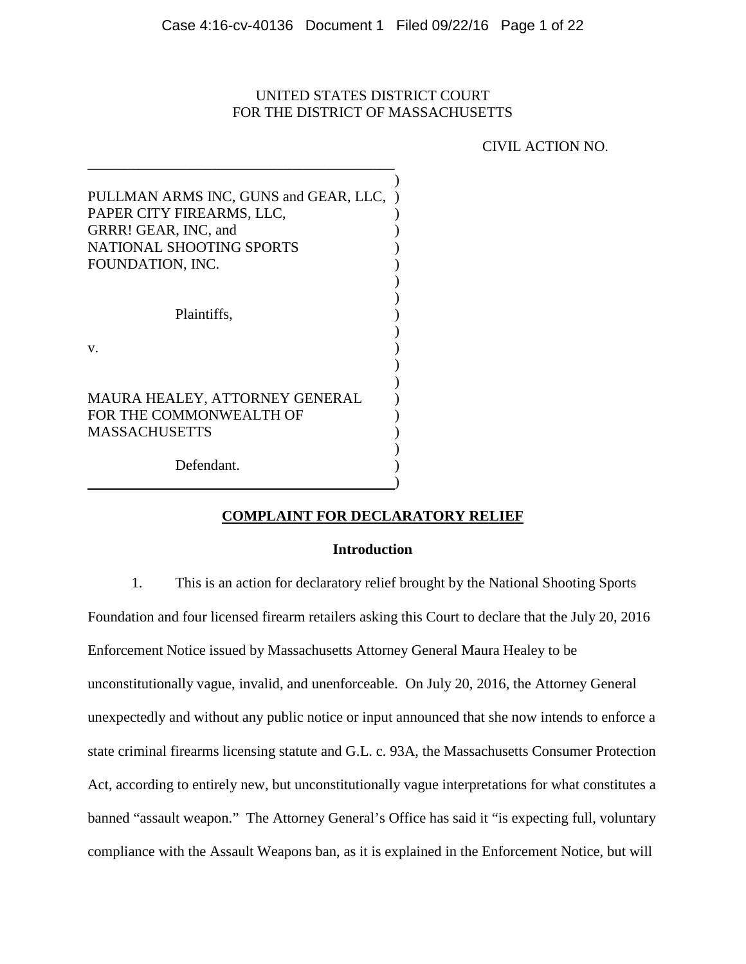# UNITED STATES DISTRICT COURT FOR THE DISTRICT OF MASSACHUSETTS

CIVIL ACTION NO.

| PULLMAN ARMS INC, GUNS and GEAR, LLC,<br>PAPER CITY FIREARMS, LLC,<br>GRRR! GEAR, INC, and<br>NATIONAL SHOOTING SPORTS<br>FOUNDATION, INC. |  |
|--------------------------------------------------------------------------------------------------------------------------------------------|--|
| Plaintiffs,<br>V.                                                                                                                          |  |
| MAURA HEALEY, ATTORNEY GENERAL<br>FOR THE COMMONWEALTH OF<br><b>MASSACHUSETTS</b>                                                          |  |
| Defendant.                                                                                                                                 |  |

 $\hspace{1.5cm}$  ) and the contract of the contract of the contract of the contract of the contract of the contract of the contract of the contract of the contract of the contract of the contract of the contract of the contrac

\_\_\_\_\_\_\_\_\_\_\_\_\_\_\_\_\_\_\_\_\_\_\_\_\_\_\_\_\_\_\_\_\_\_\_\_\_\_\_\_\_\_

# **COMPLAINT FOR DECLARATORY RELIEF**

### **Introduction**

1. This is an action for declaratory relief brought by the National Shooting Sports

Foundation and four licensed firearm retailers asking this Court to declare that the July 20, 2016 Enforcement Notice issued by Massachusetts Attorney General Maura Healey to be unconstitutionally vague, invalid, and unenforceable. On July 20, 2016, the Attorney General unexpectedly and without any public notice or input announced that she now intends to enforce a state criminal firearms licensing statute and G.L. c. 93A, the Massachusetts Consumer Protection Act, according to entirely new, but unconstitutionally vague interpretations for what constitutes a banned "assault weapon." The Attorney General's Office has said it "is expecting full, voluntary compliance with the Assault Weapons ban, as it is explained in the Enforcement Notice, but will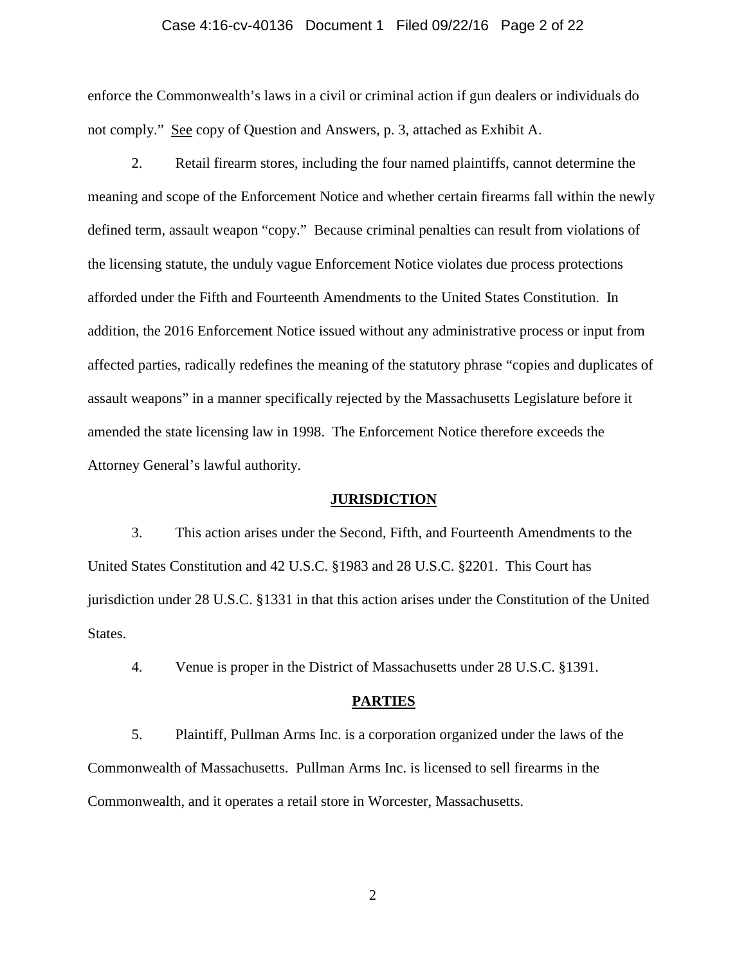### Case 4:16-cv-40136 Document 1 Filed 09/22/16 Page 2 of 22

enforce the Commonwealth's laws in a civil or criminal action if gun dealers or individuals do not comply." See copy of Question and Answers, p. 3, attached as Exhibit A.

2. Retail firearm stores, including the four named plaintiffs, cannot determine the meaning and scope of the Enforcement Notice and whether certain firearms fall within the newly defined term, assault weapon "copy." Because criminal penalties can result from violations of the licensing statute, the unduly vague Enforcement Notice violates due process protections afforded under the Fifth and Fourteenth Amendments to the United States Constitution. In addition, the 2016 Enforcement Notice issued without any administrative process or input from affected parties, radically redefines the meaning of the statutory phrase "copies and duplicates of assault weapons" in a manner specifically rejected by the Massachusetts Legislature before it amended the state licensing law in 1998. The Enforcement Notice therefore exceeds the Attorney General's lawful authority.

#### **JURISDICTION**

3. This action arises under the Second, Fifth, and Fourteenth Amendments to the United States Constitution and 42 U.S.C. §1983 and 28 U.S.C. §2201. This Court has jurisdiction under 28 U.S.C. §1331 in that this action arises under the Constitution of the United States.

4. Venue is proper in the District of Massachusetts under 28 U.S.C. §1391.

#### **PARTIES**

5. Plaintiff, Pullman Arms Inc. is a corporation organized under the laws of the Commonwealth of Massachusetts. Pullman Arms Inc. is licensed to sell firearms in the Commonwealth, and it operates a retail store in Worcester, Massachusetts.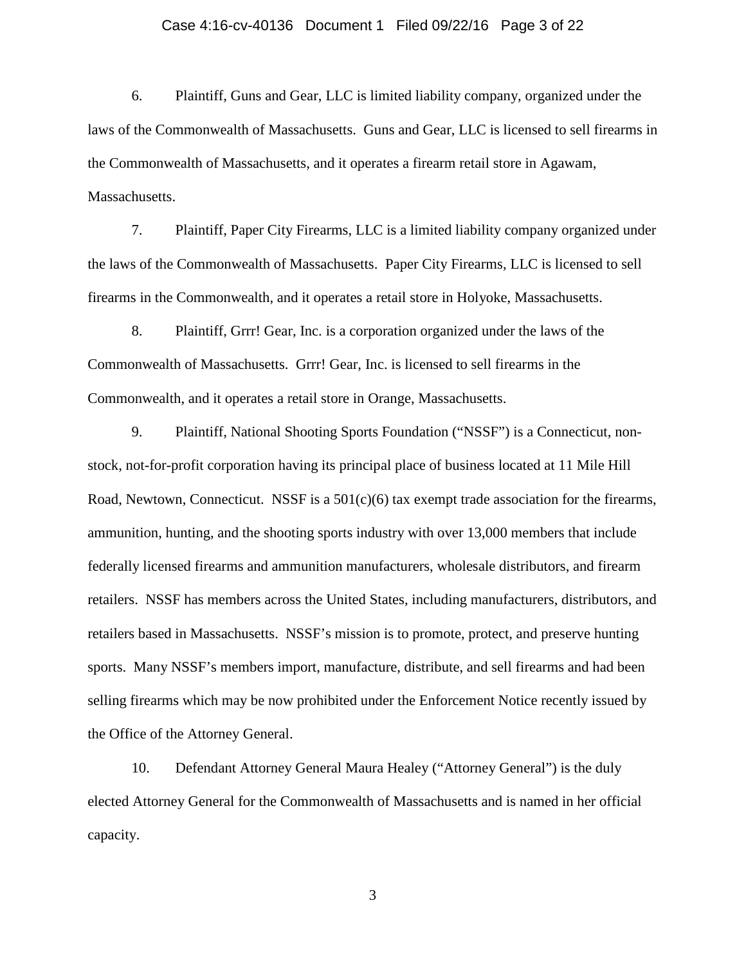### Case 4:16-cv-40136 Document 1 Filed 09/22/16 Page 3 of 22

6. Plaintiff, Guns and Gear, LLC is limited liability company, organized under the laws of the Commonwealth of Massachusetts. Guns and Gear, LLC is licensed to sell firearms in the Commonwealth of Massachusetts, and it operates a firearm retail store in Agawam, Massachusetts.

7. Plaintiff, Paper City Firearms, LLC is a limited liability company organized under the laws of the Commonwealth of Massachusetts. Paper City Firearms, LLC is licensed to sell firearms in the Commonwealth, and it operates a retail store in Holyoke, Massachusetts.

8. Plaintiff, Grrr! Gear, Inc. is a corporation organized under the laws of the Commonwealth of Massachusetts. Grrr! Gear, Inc. is licensed to sell firearms in the Commonwealth, and it operates a retail store in Orange, Massachusetts.

9. Plaintiff, National Shooting Sports Foundation ("NSSF") is a Connecticut, nonstock, not-for-profit corporation having its principal place of business located at 11 Mile Hill Road, Newtown, Connecticut. NSSF is a  $501(c)(6)$  tax exempt trade association for the firearms, ammunition, hunting, and the shooting sports industry with over 13,000 members that include federally licensed firearms and ammunition manufacturers, wholesale distributors, and firearm retailers. NSSF has members across the United States, including manufacturers, distributors, and retailers based in Massachusetts. NSSF's mission is to promote, protect, and preserve hunting sports. Many NSSF's members import, manufacture, distribute, and sell firearms and had been selling firearms which may be now prohibited under the Enforcement Notice recently issued by the Office of the Attorney General.

10. Defendant Attorney General Maura Healey ("Attorney General") is the duly elected Attorney General for the Commonwealth of Massachusetts and is named in her official capacity.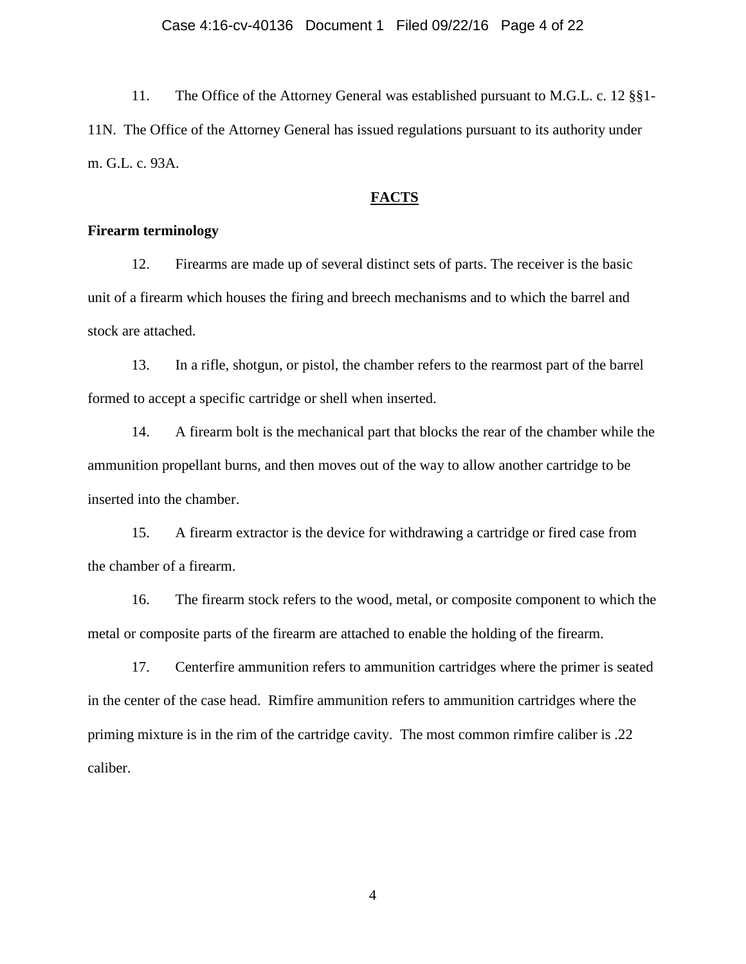11. The Office of the Attorney General was established pursuant to M.G.L. c. 12 §§1- 11N. The Office of the Attorney General has issued regulations pursuant to its authority under m. G.L. c. 93A.

### **FACTS**

### **Firearm terminology**

12. Firearms are made up of several distinct sets of parts. The receiver is the basic unit of a firearm which houses the firing and breech mechanisms and to which the barrel and stock are attached.

13. In a rifle, shotgun, or pistol, the chamber refers to the rearmost part of the barrel formed to accept a specific cartridge or shell when inserted.

14. A firearm bolt is the mechanical part that blocks the rear of the chamber while the ammunition propellant burns, and then moves out of the way to allow another cartridge to be inserted into the chamber.

15. A firearm extractor is the device for withdrawing a cartridge or fired case from the chamber of a firearm.

16. The firearm stock refers to the wood, metal, or composite component to which the metal or composite parts of the firearm are attached to enable the holding of the firearm.

17. Centerfire ammunition refers to ammunition cartridges where the primer is seated in the center of the case head. Rimfire ammunition refers to ammunition cartridges where the priming mixture is in the rim of the cartridge cavity. The most common rimfire caliber is .22 caliber.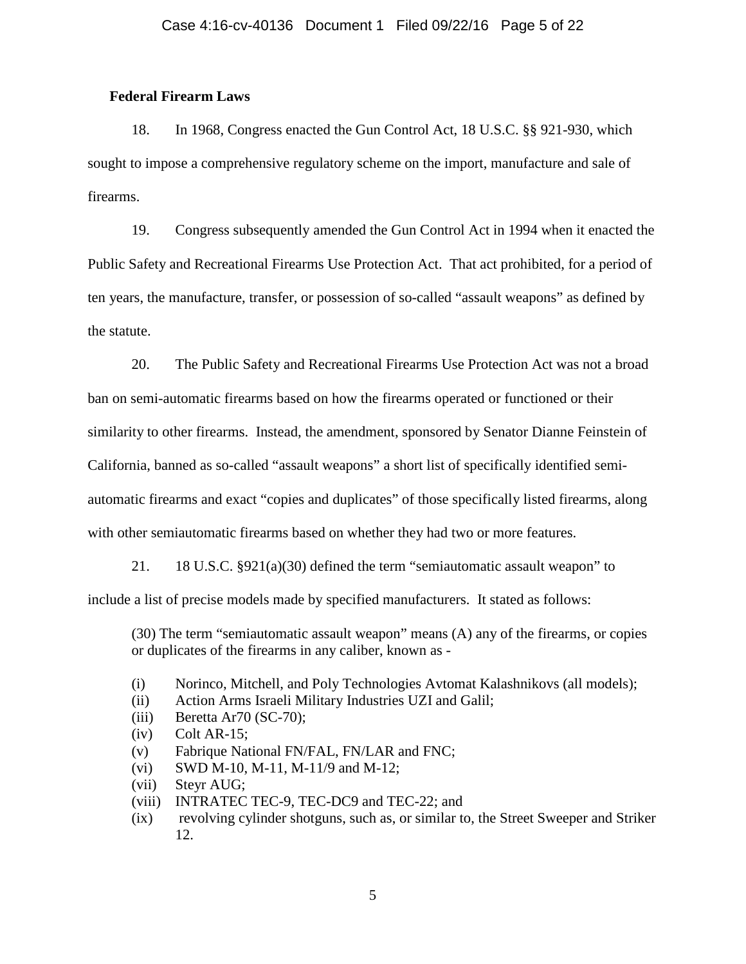## **Federal Firearm Laws**

18. In 1968, Congress enacted the Gun Control Act, 18 U.S.C. §§ 921-930, which sought to impose a comprehensive regulatory scheme on the import, manufacture and sale of firearms.

19. Congress subsequently amended the Gun Control Act in 1994 when it enacted the Public Safety and Recreational Firearms Use Protection Act. That act prohibited, for a period of ten years, the manufacture, transfer, or possession of so-called "assault weapons" as defined by the statute.

20. The Public Safety and Recreational Firearms Use Protection Act was not a broad ban on semi-automatic firearms based on how the firearms operated or functioned or their similarity to other firearms. Instead, the amendment, sponsored by Senator Dianne Feinstein of California, banned as so-called "assault weapons" a short list of specifically identified semiautomatic firearms and exact "copies and duplicates" of those specifically listed firearms, along with other semiautomatic firearms based on whether they had two or more features.

21. 18 U.S.C. §921(a)(30) defined the term "semiautomatic assault weapon" to

include a list of precise models made by specified manufacturers. It stated as follows:

(30) The term "semiautomatic assault weapon" means (A) any of the firearms, or copies or duplicates of the firearms in any caliber, known as -

- (i) Norinco, Mitchell, and Poly Technologies Avtomat Kalashnikovs (all models);
- (ii) Action Arms Israeli Military Industries UZI and Galil;
- (iii) Beretta Ar70 (SC-70);
- $(iv)$  Colt AR-15;
- (v) Fabrique National FN/FAL, FN/LAR and FNC;
- (vi) SWD M-10, M-11, M-11/9 and M-12;
- (vii) Steyr AUG;
- (viii) INTRATEC TEC-9, TEC-DC9 and TEC-22; and
- (ix) revolving cylinder shotguns, such as, or similar to, the Street Sweeper and Striker 12.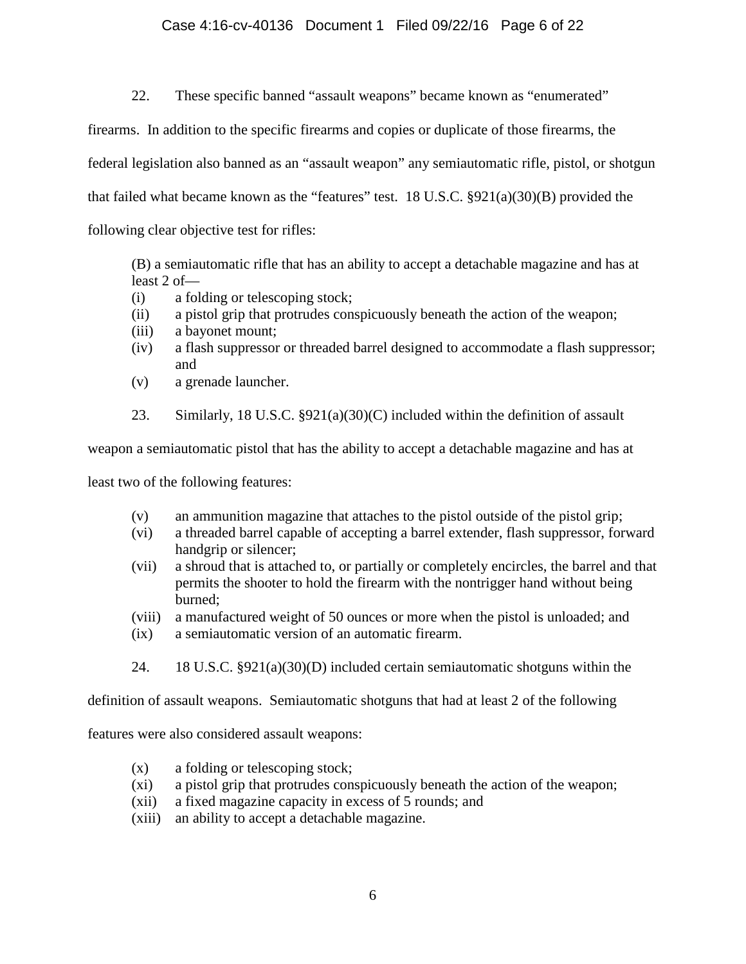## Case 4:16-cv-40136 Document 1 Filed 09/22/16 Page 6 of 22

22. These specific banned "assault weapons" became known as "enumerated"

firearms. In addition to the specific firearms and copies or duplicate of those firearms, the

federal legislation also banned as an "assault weapon" any semiautomatic rifle, pistol, or shotgun

that failed what became known as the "features" test. 18 U.S.C.  $\S 921(a)(30)(B)$  provided the

following clear objective test for rifles:

(B) a semiautomatic rifle that has an ability to accept a detachable magazine and has at least 2 of—

- (i) a folding or telescoping stock;
- (ii) a pistol grip that protrudes conspicuously beneath the action of the weapon;
- (iii) a bayonet mount;
- (iv) a flash suppressor or threaded barrel designed to accommodate a flash suppressor; and
- (v) a grenade launcher.
- 23. Similarly, 18 U.S.C. §921(a)(30)(C) included within the definition of assault

weapon a semiautomatic pistol that has the ability to accept a detachable magazine and has at

least two of the following features:

- (v) an ammunition magazine that attaches to the pistol outside of the pistol grip;
- (vi) a threaded barrel capable of accepting a barrel extender, flash suppressor, forward handgrip or silencer;
- (vii) a shroud that is attached to, or partially or completely encircles, the barrel and that permits the shooter to hold the firearm with the nontrigger hand without being burned;
- (viii) a manufactured weight of 50 ounces or more when the pistol is unloaded; and
- (ix) a semiautomatic version of an automatic firearm.
- 24. 18 U.S.C. §921(a)(30)(D) included certain semiautomatic shotguns within the

definition of assault weapons. Semiautomatic shotguns that had at least 2 of the following

features were also considered assault weapons:

- (x) a folding or telescoping stock;
- (xi) a pistol grip that protrudes conspicuously beneath the action of the weapon;
- (xii) a fixed magazine capacity in excess of 5 rounds; and
- (xiii) an ability to accept a detachable magazine.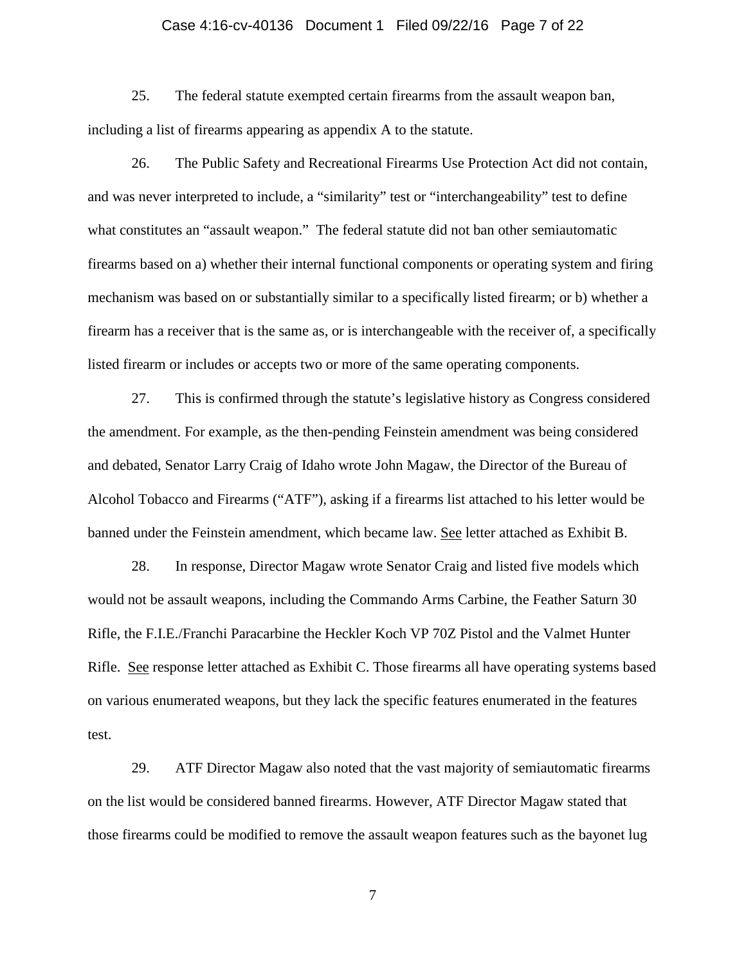### Case 4:16-cv-40136 Document 1 Filed 09/22/16 Page 7 of 22

25. The federal statute exempted certain firearms from the assault weapon ban, including a list of firearms appearing as appendix A to the statute.

26. The Public Safety and Recreational Firearms Use Protection Act did not contain, and was never interpreted to include, a "similarity" test or "interchangeability" test to define what constitutes an "assault weapon." The federal statute did not ban other semiautomatic firearms based on a) whether their internal functional components or operating system and firing mechanism was based on or substantially similar to a specifically listed firearm; or b) whether a firearm has a receiver that is the same as, or is interchangeable with the receiver of, a specifically listed firearm or includes or accepts two or more of the same operating components.

27. This is confirmed through the statute's legislative history as Congress considered the amendment. For example, as the then-pending Feinstein amendment was being considered and debated, Senator Larry Craig of Idaho wrote John Magaw, the Director of the Bureau of Alcohol Tobacco and Firearms ("ATF"), asking if a firearms list attached to his letter would be banned under the Feinstein amendment, which became law. See letter attached as Exhibit B.

28. In response, Director Magaw wrote Senator Craig and listed five models which would not be assault weapons, including the Commando Arms Carbine, the Feather Saturn 30 Rifle, the F.I.E./Franchi Paracarbine the Heckler Koch VP 70Z Pistol and the Valmet Hunter Rifle. See response letter attached as Exhibit C. Those firearms all have operating systems based on various enumerated weapons, but they lack the specific features enumerated in the features test.

29. ATF Director Magaw also noted that the vast majority of semiautomatic firearms on the list would be considered banned firearms. However, ATF Director Magaw stated that those firearms could be modified to remove the assault weapon features such as the bayonet lug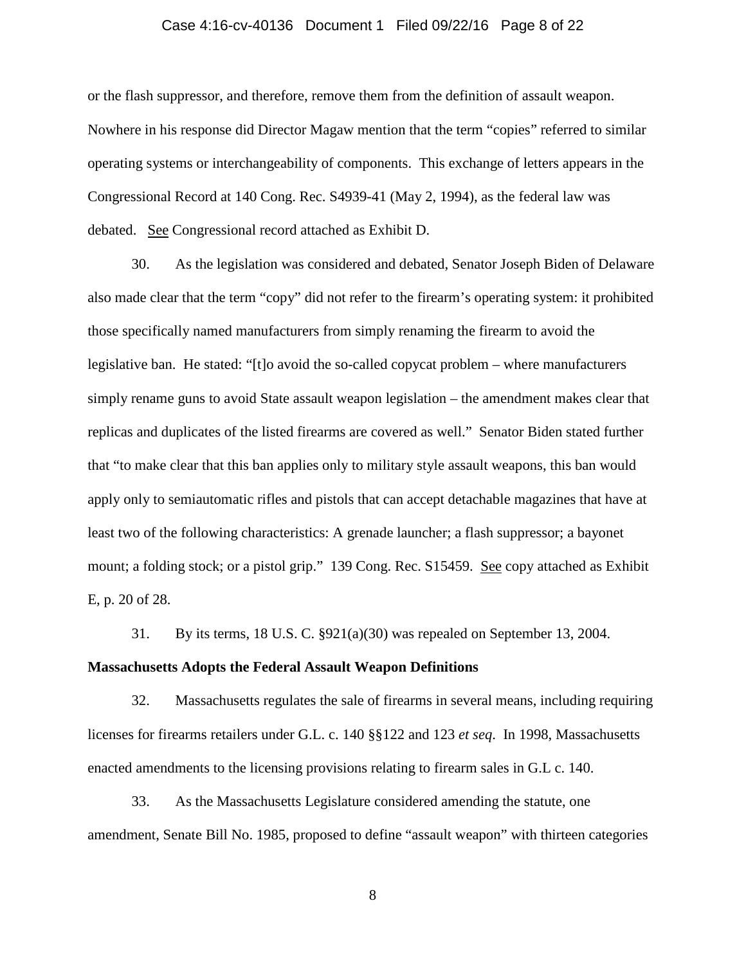### Case 4:16-cv-40136 Document 1 Filed 09/22/16 Page 8 of 22

or the flash suppressor, and therefore, remove them from the definition of assault weapon. Nowhere in his response did Director Magaw mention that the term "copies" referred to similar operating systems or interchangeability of components. This exchange of letters appears in the Congressional Record at 140 Cong. Rec. S4939-41 (May 2, 1994), as the federal law was debated. See Congressional record attached as Exhibit D.

30. As the legislation was considered and debated, Senator Joseph Biden of Delaware also made clear that the term "copy" did not refer to the firearm's operating system: it prohibited those specifically named manufacturers from simply renaming the firearm to avoid the legislative ban. He stated: "[t]o avoid the so-called copycat problem – where manufacturers simply rename guns to avoid State assault weapon legislation – the amendment makes clear that replicas and duplicates of the listed firearms are covered as well." Senator Biden stated further that "to make clear that this ban applies only to military style assault weapons, this ban would apply only to semiautomatic rifles and pistols that can accept detachable magazines that have at least two of the following characteristics: A grenade launcher; a flash suppressor; a bayonet mount; a folding stock; or a pistol grip." 139 Cong. Rec. S15459. See copy attached as Exhibit E, p. 20 of 28.

31. By its terms, 18 U.S. C. §921(a)(30) was repealed on September 13, 2004.

### **Massachusetts Adopts the Federal Assault Weapon Definitions**

32. Massachusetts regulates the sale of firearms in several means, including requiring licenses for firearms retailers under G.L. c. 140 §§122 and 123 *et seq*. In 1998, Massachusetts enacted amendments to the licensing provisions relating to firearm sales in G.L c. 140.

33. As the Massachusetts Legislature considered amending the statute, one amendment, Senate Bill No. 1985, proposed to define "assault weapon" with thirteen categories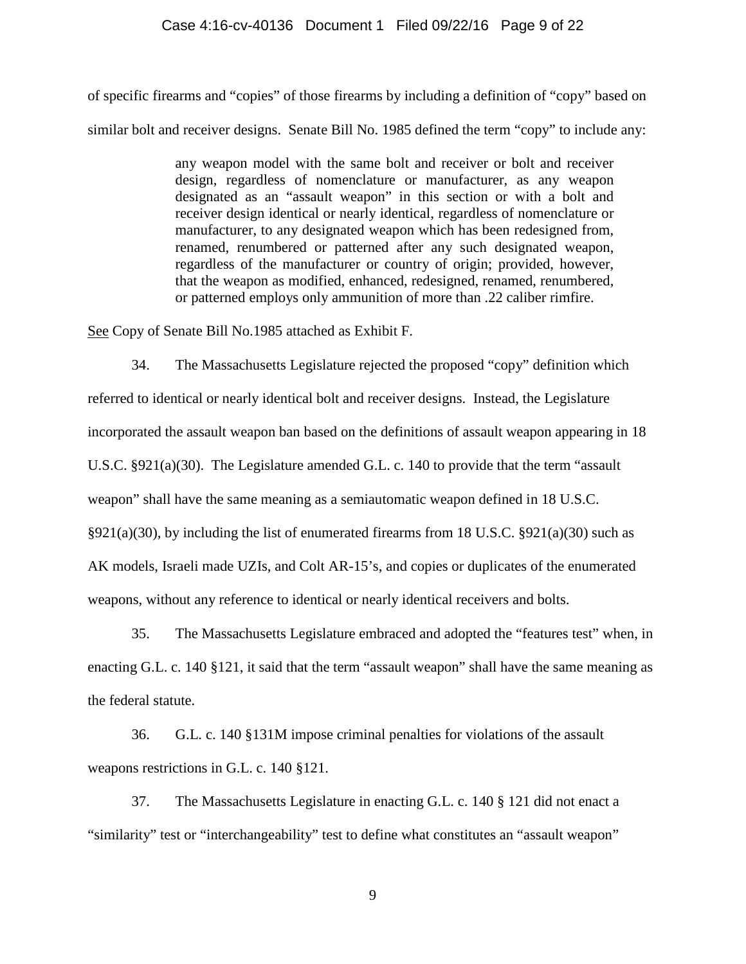### Case 4:16-cv-40136 Document 1 Filed 09/22/16 Page 9 of 22

of specific firearms and "copies" of those firearms by including a definition of "copy" based on similar bolt and receiver designs. Senate Bill No. 1985 defined the term "copy" to include any:

> any weapon model with the same bolt and receiver or bolt and receiver design, regardless of nomenclature or manufacturer, as any weapon designated as an "assault weapon" in this section or with a bolt and receiver design identical or nearly identical, regardless of nomenclature or manufacturer, to any designated weapon which has been redesigned from, renamed, renumbered or patterned after any such designated weapon, regardless of the manufacturer or country of origin; provided, however, that the weapon as modified, enhanced, redesigned, renamed, renumbered, or patterned employs only ammunition of more than .22 caliber rimfire.

See Copy of Senate Bill No.1985 attached as Exhibit F.

34. The Massachusetts Legislature rejected the proposed "copy" definition which referred to identical or nearly identical bolt and receiver designs. Instead, the Legislature incorporated the assault weapon ban based on the definitions of assault weapon appearing in 18 U.S.C. §921(a)(30). The Legislature amended G.L. c. 140 to provide that the term "assault weapon" shall have the same meaning as a semiautomatic weapon defined in 18 U.S.C.  $§921(a)(30)$ , by including the list of enumerated firearms from 18 U.S.C.  $§921(a)(30)$  such as AK models, Israeli made UZIs, and Colt AR-15's, and copies or duplicates of the enumerated weapons, without any reference to identical or nearly identical receivers and bolts.

35. The Massachusetts Legislature embraced and adopted the "features test" when, in enacting G.L. c. 140 §121, it said that the term "assault weapon" shall have the same meaning as the federal statute.

36. G.L. c. 140 §131M impose criminal penalties for violations of the assault weapons restrictions in G.L. c. 140 §121.

37. The Massachusetts Legislature in enacting G.L. c. 140 § 121 did not enact a "similarity" test or "interchangeability" test to define what constitutes an "assault weapon"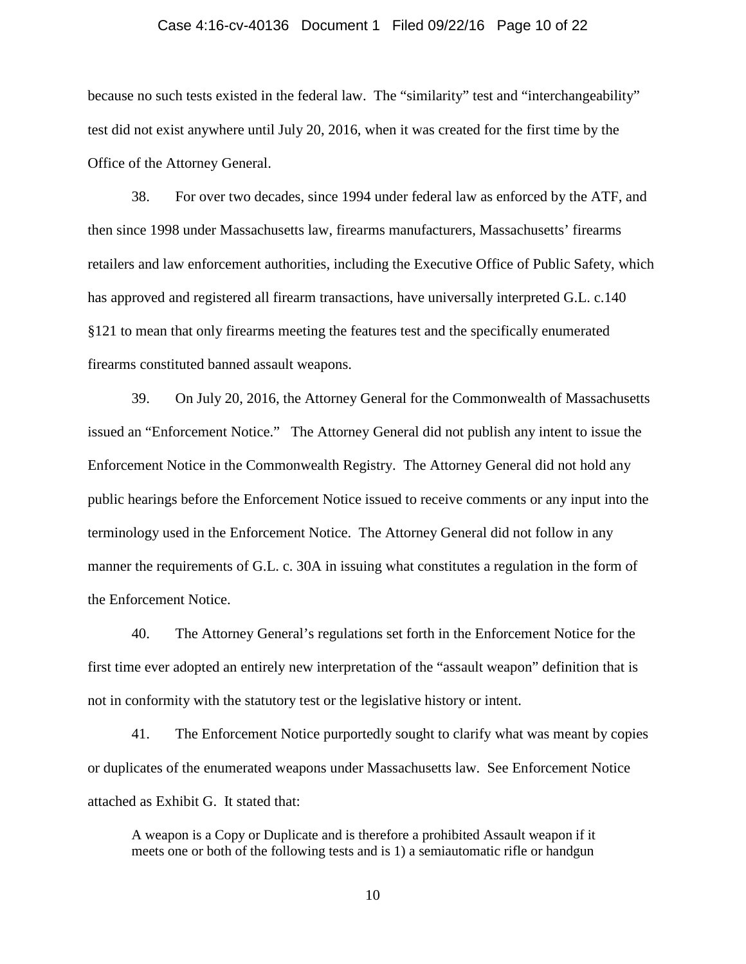### Case 4:16-cv-40136 Document 1 Filed 09/22/16 Page 10 of 22

because no such tests existed in the federal law. The "similarity" test and "interchangeability" test did not exist anywhere until July 20, 2016, when it was created for the first time by the Office of the Attorney General.

38. For over two decades, since 1994 under federal law as enforced by the ATF, and then since 1998 under Massachusetts law, firearms manufacturers, Massachusetts' firearms retailers and law enforcement authorities, including the Executive Office of Public Safety, which has approved and registered all firearm transactions, have universally interpreted G.L. c.140 §121 to mean that only firearms meeting the features test and the specifically enumerated firearms constituted banned assault weapons.

39. On July 20, 2016, the Attorney General for the Commonwealth of Massachusetts issued an "Enforcement Notice." The Attorney General did not publish any intent to issue the Enforcement Notice in the Commonwealth Registry. The Attorney General did not hold any public hearings before the Enforcement Notice issued to receive comments or any input into the terminology used in the Enforcement Notice. The Attorney General did not follow in any manner the requirements of G.L. c. 30A in issuing what constitutes a regulation in the form of the Enforcement Notice.

40. The Attorney General's regulations set forth in the Enforcement Notice for the first time ever adopted an entirely new interpretation of the "assault weapon" definition that is not in conformity with the statutory test or the legislative history or intent.

41. The Enforcement Notice purportedly sought to clarify what was meant by copies or duplicates of the enumerated weapons under Massachusetts law. See Enforcement Notice attached as Exhibit G. It stated that:

A weapon is a Copy or Duplicate and is therefore a prohibited Assault weapon if it meets one or both of the following tests and is 1) a semiautomatic rifle or handgun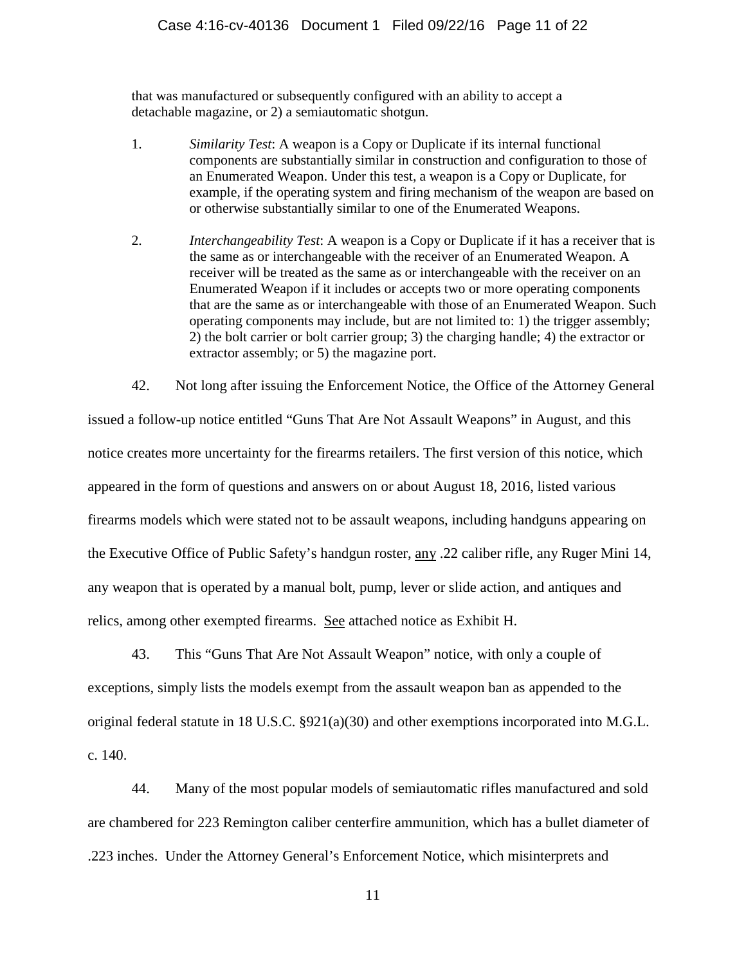that was manufactured or subsequently configured with an ability to accept a detachable magazine, or 2) a semiautomatic shotgun.

- 1. *Similarity Test*: A weapon is a Copy or Duplicate if its internal functional components are substantially similar in construction and configuration to those of an Enumerated Weapon. Under this test, a weapon is a Copy or Duplicate, for example, if the operating system and firing mechanism of the weapon are based on or otherwise substantially similar to one of the Enumerated Weapons.
- 2. *Interchangeability Test*: A weapon is a Copy or Duplicate if it has a receiver that is the same as or interchangeable with the receiver of an Enumerated Weapon. A receiver will be treated as the same as or interchangeable with the receiver on an Enumerated Weapon if it includes or accepts two or more operating components that are the same as or interchangeable with those of an Enumerated Weapon. Such operating components may include, but are not limited to: 1) the trigger assembly; 2) the bolt carrier or bolt carrier group; 3) the charging handle; 4) the extractor or extractor assembly; or 5) the magazine port.
- 42. Not long after issuing the Enforcement Notice, the Office of the Attorney General issued a follow-up notice entitled "Guns That Are Not Assault Weapons" in August, and this notice creates more uncertainty for the firearms retailers. The first version of this notice, which appeared in the form of questions and answers on or about August 18, 2016, listed various firearms models which were stated not to be assault weapons, including handguns appearing on the Executive Office of Public Safety's handgun roster, any .22 caliber rifle, any Ruger Mini 14, any weapon that is operated by a manual bolt, pump, lever or slide action, and antiques and relics, among other exempted firearms. See attached notice as Exhibit H.

43. This "Guns That Are Not Assault Weapon" notice, with only a couple of exceptions, simply lists the models exempt from the assault weapon ban as appended to the original federal statute in 18 U.S.C. §921(a)(30) and other exemptions incorporated into M.G.L. c. 140.

44. Many of the most popular models of semiautomatic rifles manufactured and sold are chambered for 223 Remington caliber centerfire ammunition, which has a bullet diameter of .223 inches. Under the Attorney General's Enforcement Notice, which misinterprets and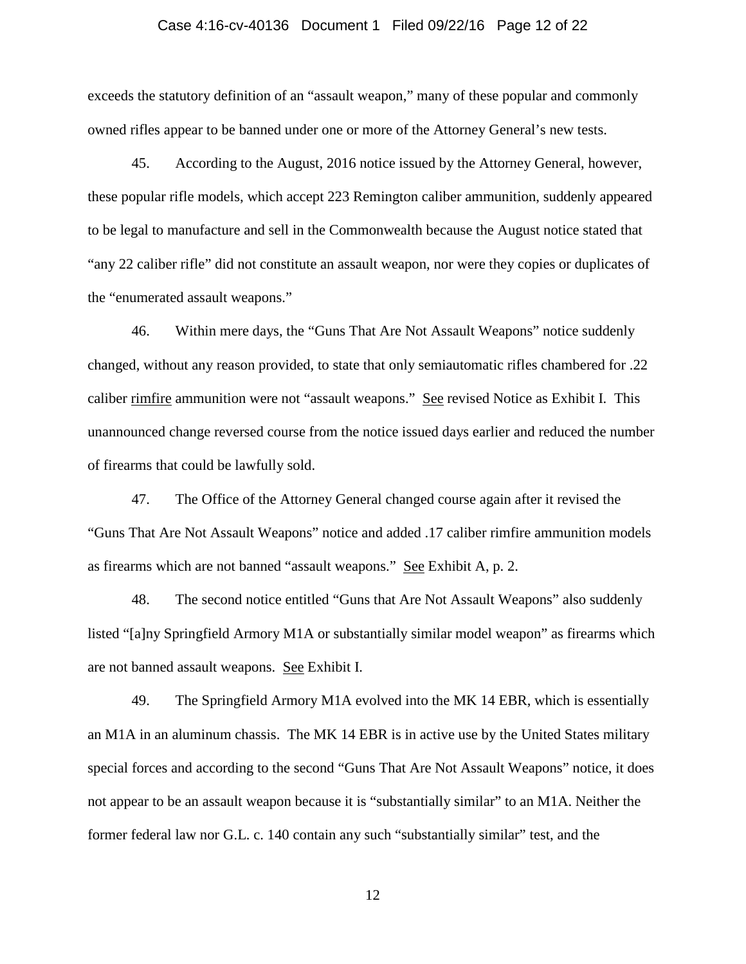### Case 4:16-cv-40136 Document 1 Filed 09/22/16 Page 12 of 22

exceeds the statutory definition of an "assault weapon," many of these popular and commonly owned rifles appear to be banned under one or more of the Attorney General's new tests.

45. According to the August, 2016 notice issued by the Attorney General, however, these popular rifle models, which accept 223 Remington caliber ammunition, suddenly appeared to be legal to manufacture and sell in the Commonwealth because the August notice stated that "any 22 caliber rifle" did not constitute an assault weapon, nor were they copies or duplicates of the "enumerated assault weapons."

46. Within mere days, the "Guns That Are Not Assault Weapons" notice suddenly changed, without any reason provided, to state that only semiautomatic rifles chambered for .22 caliber rimfire ammunition were not "assault weapons." See revised Notice as Exhibit I. This unannounced change reversed course from the notice issued days earlier and reduced the number of firearms that could be lawfully sold.

47. The Office of the Attorney General changed course again after it revised the "Guns That Are Not Assault Weapons" notice and added .17 caliber rimfire ammunition models as firearms which are not banned "assault weapons." See Exhibit A, p. 2.

48. The second notice entitled "Guns that Are Not Assault Weapons" also suddenly listed "[a]ny Springfield Armory M1A or substantially similar model weapon" as firearms which are not banned assault weapons. See Exhibit I.

49. The Springfield Armory M1A evolved into the MK 14 EBR, which is essentially an M1A in an aluminum chassis. The MK 14 EBR is in active use by the United States military special forces and according to the second "Guns That Are Not Assault Weapons" notice, it does not appear to be an assault weapon because it is "substantially similar" to an M1A. Neither the former federal law nor G.L. c. 140 contain any such "substantially similar" test, and the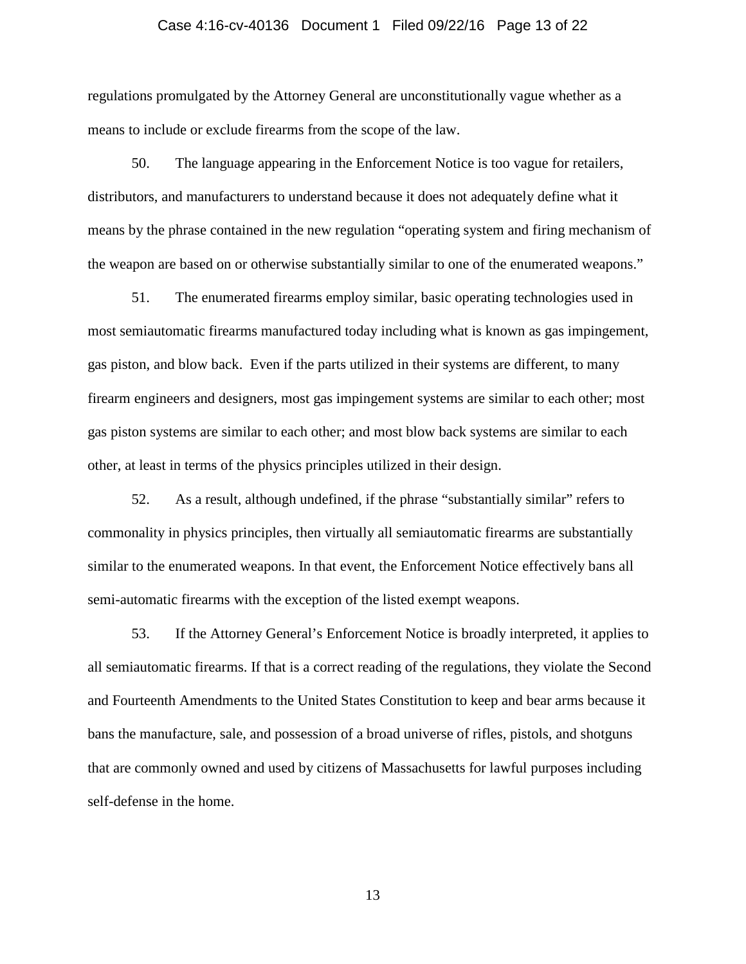### Case 4:16-cv-40136 Document 1 Filed 09/22/16 Page 13 of 22

regulations promulgated by the Attorney General are unconstitutionally vague whether as a means to include or exclude firearms from the scope of the law.

50. The language appearing in the Enforcement Notice is too vague for retailers, distributors, and manufacturers to understand because it does not adequately define what it means by the phrase contained in the new regulation "operating system and firing mechanism of the weapon are based on or otherwise substantially similar to one of the enumerated weapons."

51. The enumerated firearms employ similar, basic operating technologies used in most semiautomatic firearms manufactured today including what is known as gas impingement, gas piston, and blow back. Even if the parts utilized in their systems are different, to many firearm engineers and designers, most gas impingement systems are similar to each other; most gas piston systems are similar to each other; and most blow back systems are similar to each other, at least in terms of the physics principles utilized in their design.

52. As a result, although undefined, if the phrase "substantially similar" refers to commonality in physics principles, then virtually all semiautomatic firearms are substantially similar to the enumerated weapons. In that event, the Enforcement Notice effectively bans all semi-automatic firearms with the exception of the listed exempt weapons.

53. If the Attorney General's Enforcement Notice is broadly interpreted, it applies to all semiautomatic firearms. If that is a correct reading of the regulations, they violate the Second and Fourteenth Amendments to the United States Constitution to keep and bear arms because it bans the manufacture, sale, and possession of a broad universe of rifles, pistols, and shotguns that are commonly owned and used by citizens of Massachusetts for lawful purposes including self-defense in the home.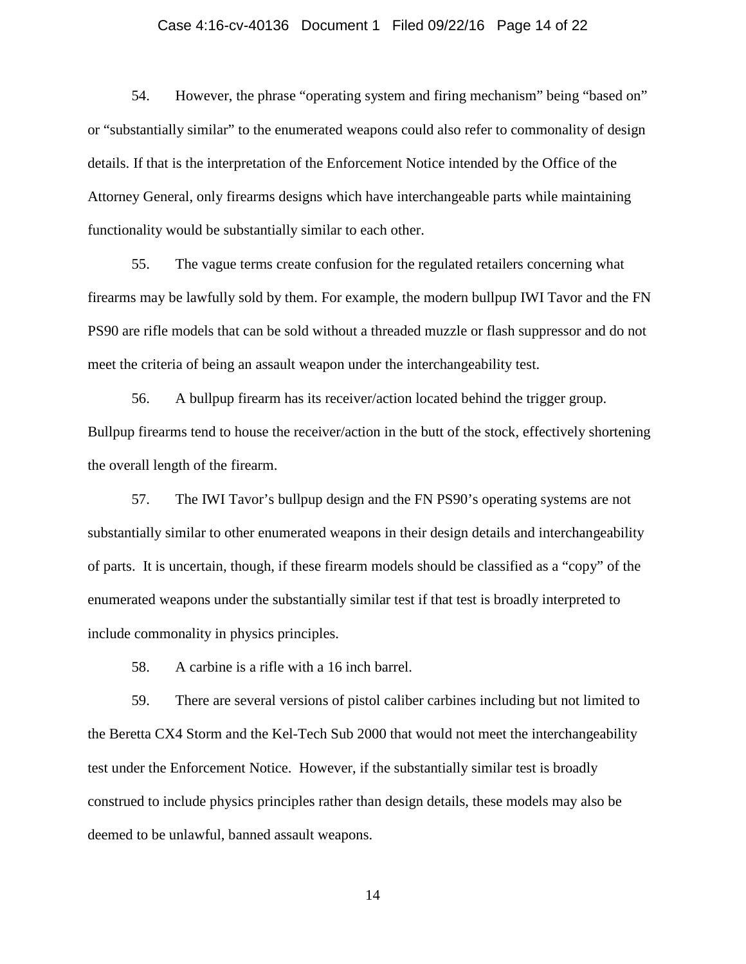### Case 4:16-cv-40136 Document 1 Filed 09/22/16 Page 14 of 22

54. However, the phrase "operating system and firing mechanism" being "based on" or "substantially similar" to the enumerated weapons could also refer to commonality of design details. If that is the interpretation of the Enforcement Notice intended by the Office of the Attorney General, only firearms designs which have interchangeable parts while maintaining functionality would be substantially similar to each other.

55. The vague terms create confusion for the regulated retailers concerning what firearms may be lawfully sold by them. For example, the modern bullpup IWI Tavor and the FN PS90 are rifle models that can be sold without a threaded muzzle or flash suppressor and do not meet the criteria of being an assault weapon under the interchangeability test.

56. A bullpup firearm has its receiver/action located behind the trigger group. Bullpup firearms tend to house the receiver/action in the butt of the stock, effectively shortening the overall length of the firearm.

57. The IWI Tavor's bullpup design and the FN PS90's operating systems are not substantially similar to other enumerated weapons in their design details and interchangeability of parts. It is uncertain, though, if these firearm models should be classified as a "copy" of the enumerated weapons under the substantially similar test if that test is broadly interpreted to include commonality in physics principles.

58. A carbine is a rifle with a 16 inch barrel.

59. There are several versions of pistol caliber carbines including but not limited to the Beretta CX4 Storm and the Kel-Tech Sub 2000 that would not meet the interchangeability test under the Enforcement Notice. However, if the substantially similar test is broadly construed to include physics principles rather than design details, these models may also be deemed to be unlawful, banned assault weapons.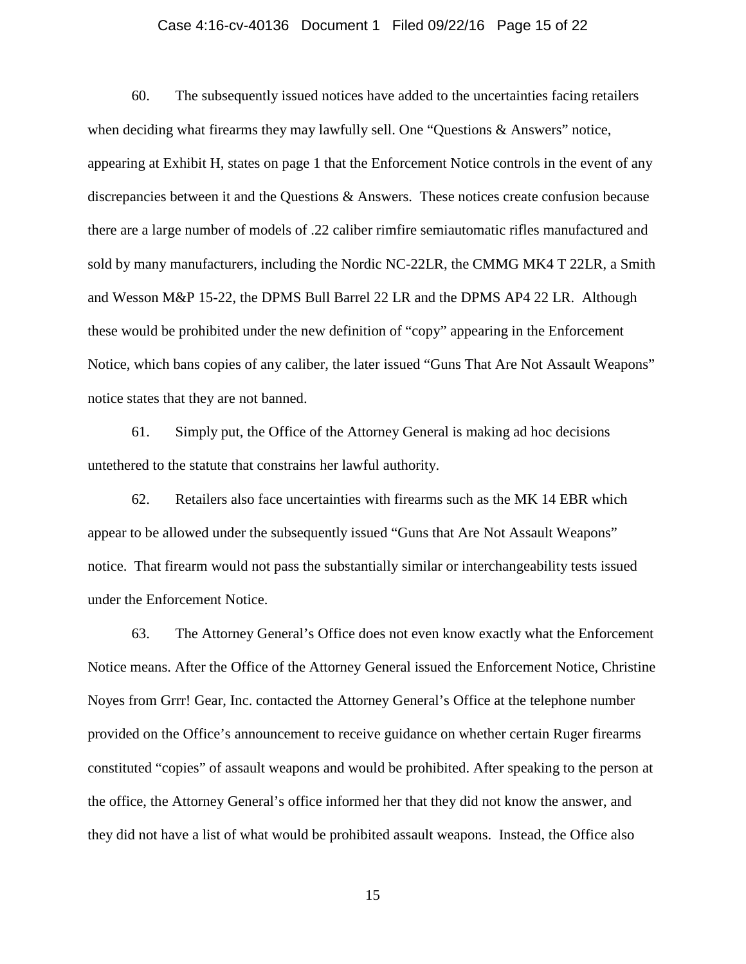### Case 4:16-cv-40136 Document 1 Filed 09/22/16 Page 15 of 22

60. The subsequently issued notices have added to the uncertainties facing retailers when deciding what firearms they may lawfully sell. One "Questions & Answers" notice, appearing at Exhibit H, states on page 1 that the Enforcement Notice controls in the event of any discrepancies between it and the Questions & Answers. These notices create confusion because there are a large number of models of .22 caliber rimfire semiautomatic rifles manufactured and sold by many manufacturers, including the Nordic NC-22LR, the CMMG MK4 T 22LR, a Smith and Wesson M&P 15-22, the DPMS Bull Barrel 22 LR and the DPMS AP4 22 LR. Although these would be prohibited under the new definition of "copy" appearing in the Enforcement Notice, which bans copies of any caliber, the later issued "Guns That Are Not Assault Weapons" notice states that they are not banned.

61. Simply put, the Office of the Attorney General is making ad hoc decisions untethered to the statute that constrains her lawful authority.

62. Retailers also face uncertainties with firearms such as the MK 14 EBR which appear to be allowed under the subsequently issued "Guns that Are Not Assault Weapons" notice. That firearm would not pass the substantially similar or interchangeability tests issued under the Enforcement Notice.

63. The Attorney General's Office does not even know exactly what the Enforcement Notice means. After the Office of the Attorney General issued the Enforcement Notice, Christine Noyes from Grrr! Gear, Inc. contacted the Attorney General's Office at the telephone number provided on the Office's announcement to receive guidance on whether certain Ruger firearms constituted "copies" of assault weapons and would be prohibited. After speaking to the person at the office, the Attorney General's office informed her that they did not know the answer, and they did not have a list of what would be prohibited assault weapons. Instead, the Office also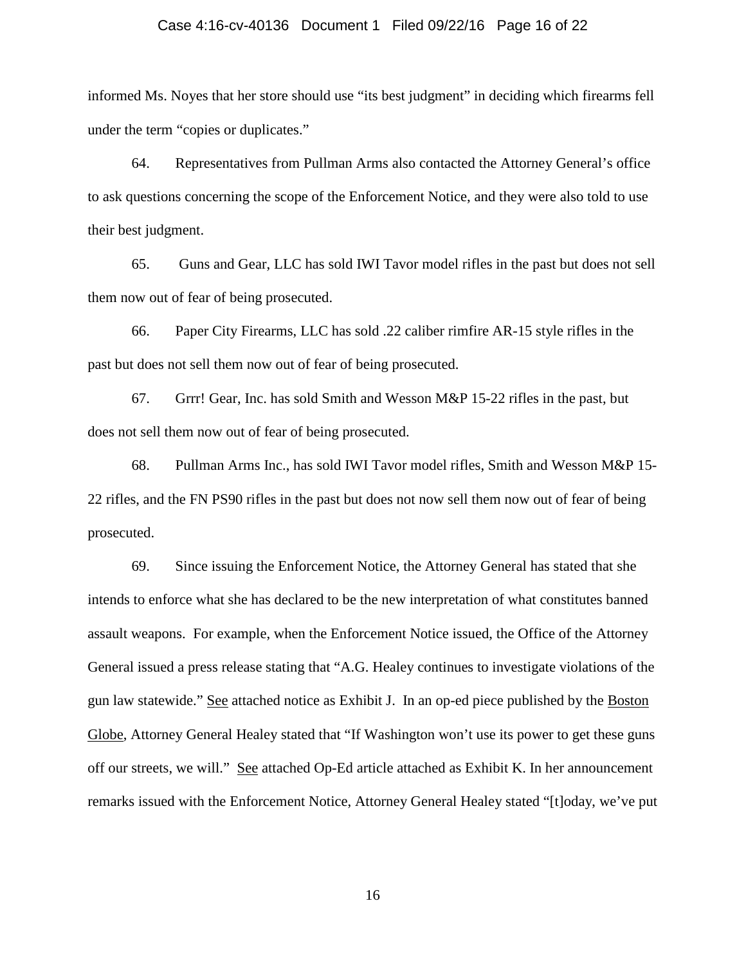### Case 4:16-cv-40136 Document 1 Filed 09/22/16 Page 16 of 22

informed Ms. Noyes that her store should use "its best judgment" in deciding which firearms fell under the term "copies or duplicates."

64. Representatives from Pullman Arms also contacted the Attorney General's office to ask questions concerning the scope of the Enforcement Notice, and they were also told to use their best judgment.

65. Guns and Gear, LLC has sold IWI Tavor model rifles in the past but does not sell them now out of fear of being prosecuted.

66. Paper City Firearms, LLC has sold .22 caliber rimfire AR-15 style rifles in the past but does not sell them now out of fear of being prosecuted.

67. Grrr! Gear, Inc. has sold Smith and Wesson M&P 15-22 rifles in the past, but does not sell them now out of fear of being prosecuted.

68. Pullman Arms Inc., has sold IWI Tavor model rifles, Smith and Wesson M&P 15- 22 rifles, and the FN PS90 rifles in the past but does not now sell them now out of fear of being prosecuted.

69. Since issuing the Enforcement Notice, the Attorney General has stated that she intends to enforce what she has declared to be the new interpretation of what constitutes banned assault weapons. For example, when the Enforcement Notice issued, the Office of the Attorney General issued a press release stating that "A.G. Healey continues to investigate violations of the gun law statewide." See attached notice as Exhibit J. In an op-ed piece published by the Boston Globe, Attorney General Healey stated that "If Washington won't use its power to get these guns off our streets, we will." See attached Op-Ed article attached as Exhibit K. In her announcement remarks issued with the Enforcement Notice, Attorney General Healey stated "[t]oday, we've put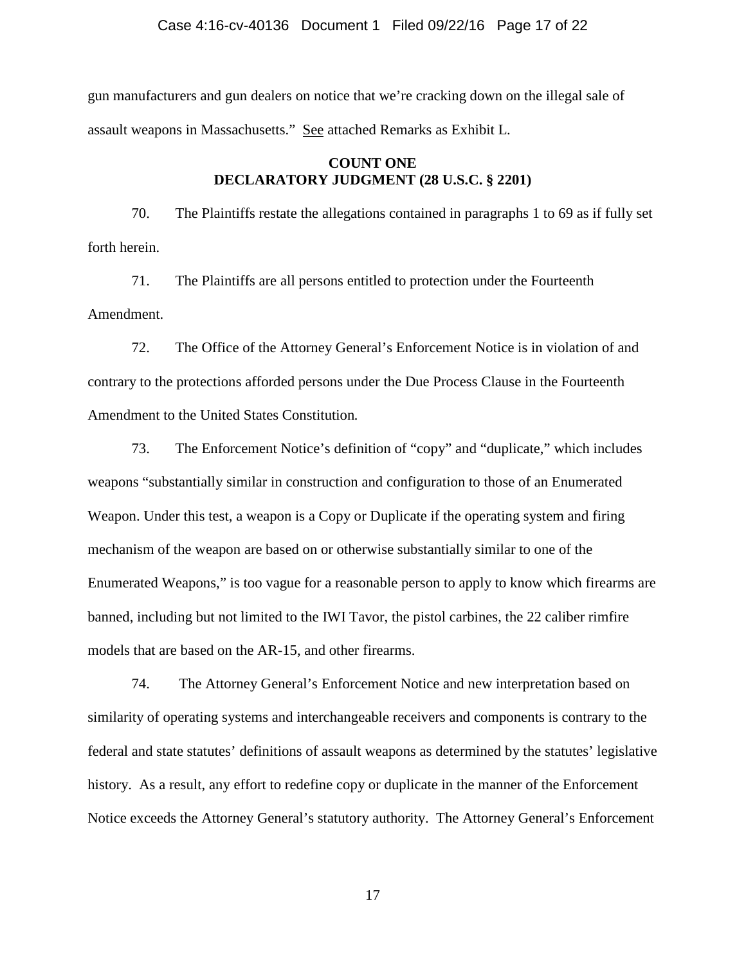### Case 4:16-cv-40136 Document 1 Filed 09/22/16 Page 17 of 22

gun manufacturers and gun dealers on notice that we're cracking down on the illegal sale of assault weapons in Massachusetts." See attached Remarks as Exhibit L.

# **COUNT ONE DECLARATORY JUDGMENT (28 U.S.C. § 2201)**

70. The Plaintiffs restate the allegations contained in paragraphs 1 to 69 as if fully set forth herein.

71. The Plaintiffs are all persons entitled to protection under the Fourteenth Amendment.

72. The Office of the Attorney General's Enforcement Notice is in violation of and contrary to the protections afforded persons under the Due Process Clause in the Fourteenth Amendment to the United States Constitution*.*

73. The Enforcement Notice's definition of "copy" and "duplicate," which includes weapons "substantially similar in construction and configuration to those of an Enumerated Weapon. Under this test, a weapon is a Copy or Duplicate if the operating system and firing mechanism of the weapon are based on or otherwise substantially similar to one of the Enumerated Weapons," is too vague for a reasonable person to apply to know which firearms are banned, including but not limited to the IWI Tavor, the pistol carbines, the 22 caliber rimfire models that are based on the AR-15, and other firearms.

74. The Attorney General's Enforcement Notice and new interpretation based on similarity of operating systems and interchangeable receivers and components is contrary to the federal and state statutes' definitions of assault weapons as determined by the statutes' legislative history. As a result, any effort to redefine copy or duplicate in the manner of the Enforcement Notice exceeds the Attorney General's statutory authority. The Attorney General's Enforcement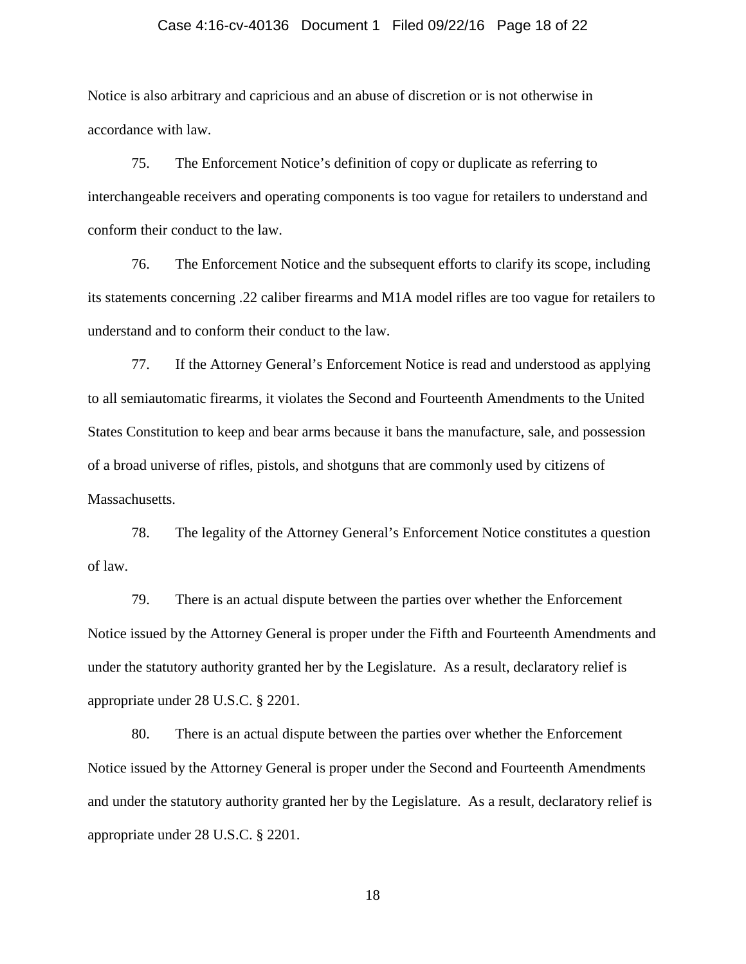### Case 4:16-cv-40136 Document 1 Filed 09/22/16 Page 18 of 22

Notice is also arbitrary and capricious and an abuse of discretion or is not otherwise in accordance with law.

75. The Enforcement Notice's definition of copy or duplicate as referring to interchangeable receivers and operating components is too vague for retailers to understand and conform their conduct to the law.

76. The Enforcement Notice and the subsequent efforts to clarify its scope, including its statements concerning .22 caliber firearms and M1A model rifles are too vague for retailers to understand and to conform their conduct to the law.

77. If the Attorney General's Enforcement Notice is read and understood as applying to all semiautomatic firearms, it violates the Second and Fourteenth Amendments to the United States Constitution to keep and bear arms because it bans the manufacture, sale, and possession of a broad universe of rifles, pistols, and shotguns that are commonly used by citizens of Massachusetts.

78. The legality of the Attorney General's Enforcement Notice constitutes a question of law.

79. There is an actual dispute between the parties over whether the Enforcement Notice issued by the Attorney General is proper under the Fifth and Fourteenth Amendments and under the statutory authority granted her by the Legislature. As a result, declaratory relief is appropriate under 28 U.S.C. § 2201.

80. There is an actual dispute between the parties over whether the Enforcement Notice issued by the Attorney General is proper under the Second and Fourteenth Amendments and under the statutory authority granted her by the Legislature. As a result, declaratory relief is appropriate under 28 U.S.C. § 2201.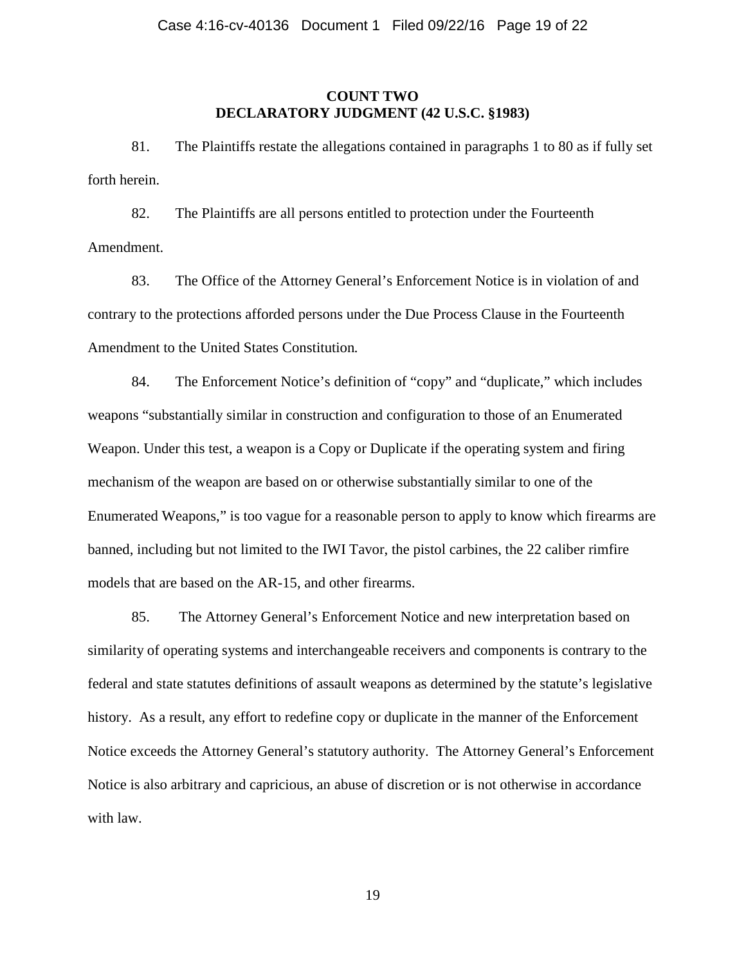### **COUNT TWO DECLARATORY JUDGMENT (42 U.S.C. §1983)**

81. The Plaintiffs restate the allegations contained in paragraphs 1 to 80 as if fully set forth herein.

82. The Plaintiffs are all persons entitled to protection under the Fourteenth Amendment.

83. The Office of the Attorney General's Enforcement Notice is in violation of and contrary to the protections afforded persons under the Due Process Clause in the Fourteenth Amendment to the United States Constitution*.*

84. The Enforcement Notice's definition of "copy" and "duplicate," which includes weapons "substantially similar in construction and configuration to those of an Enumerated Weapon. Under this test, a weapon is a Copy or Duplicate if the operating system and firing mechanism of the weapon are based on or otherwise substantially similar to one of the Enumerated Weapons," is too vague for a reasonable person to apply to know which firearms are banned, including but not limited to the IWI Tavor, the pistol carbines, the 22 caliber rimfire models that are based on the AR-15, and other firearms.

85. The Attorney General's Enforcement Notice and new interpretation based on similarity of operating systems and interchangeable receivers and components is contrary to the federal and state statutes definitions of assault weapons as determined by the statute's legislative history. As a result, any effort to redefine copy or duplicate in the manner of the Enforcement Notice exceeds the Attorney General's statutory authority. The Attorney General's Enforcement Notice is also arbitrary and capricious, an abuse of discretion or is not otherwise in accordance with law.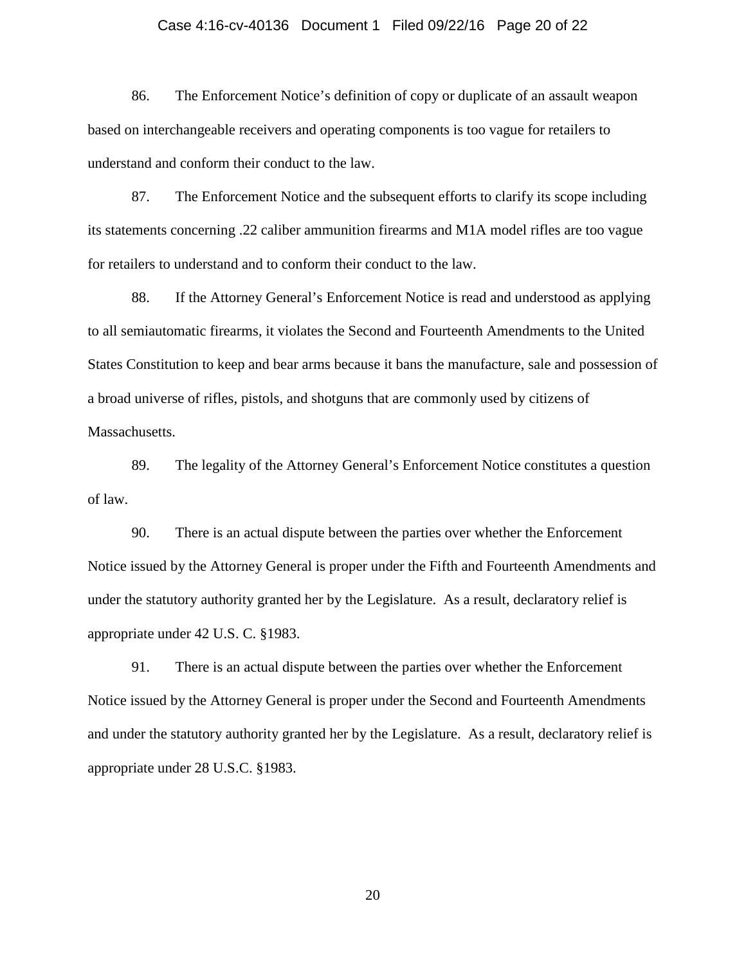### Case 4:16-cv-40136 Document 1 Filed 09/22/16 Page 20 of 22

86. The Enforcement Notice's definition of copy or duplicate of an assault weapon based on interchangeable receivers and operating components is too vague for retailers to understand and conform their conduct to the law.

87. The Enforcement Notice and the subsequent efforts to clarify its scope including its statements concerning .22 caliber ammunition firearms and M1A model rifles are too vague for retailers to understand and to conform their conduct to the law.

88. If the Attorney General's Enforcement Notice is read and understood as applying to all semiautomatic firearms, it violates the Second and Fourteenth Amendments to the United States Constitution to keep and bear arms because it bans the manufacture, sale and possession of a broad universe of rifles, pistols, and shotguns that are commonly used by citizens of Massachusetts.

89. The legality of the Attorney General's Enforcement Notice constitutes a question of law.

90. There is an actual dispute between the parties over whether the Enforcement Notice issued by the Attorney General is proper under the Fifth and Fourteenth Amendments and under the statutory authority granted her by the Legislature. As a result, declaratory relief is appropriate under 42 U.S. C. §1983.

91. There is an actual dispute between the parties over whether the Enforcement Notice issued by the Attorney General is proper under the Second and Fourteenth Amendments and under the statutory authority granted her by the Legislature. As a result, declaratory relief is appropriate under 28 U.S.C. §1983.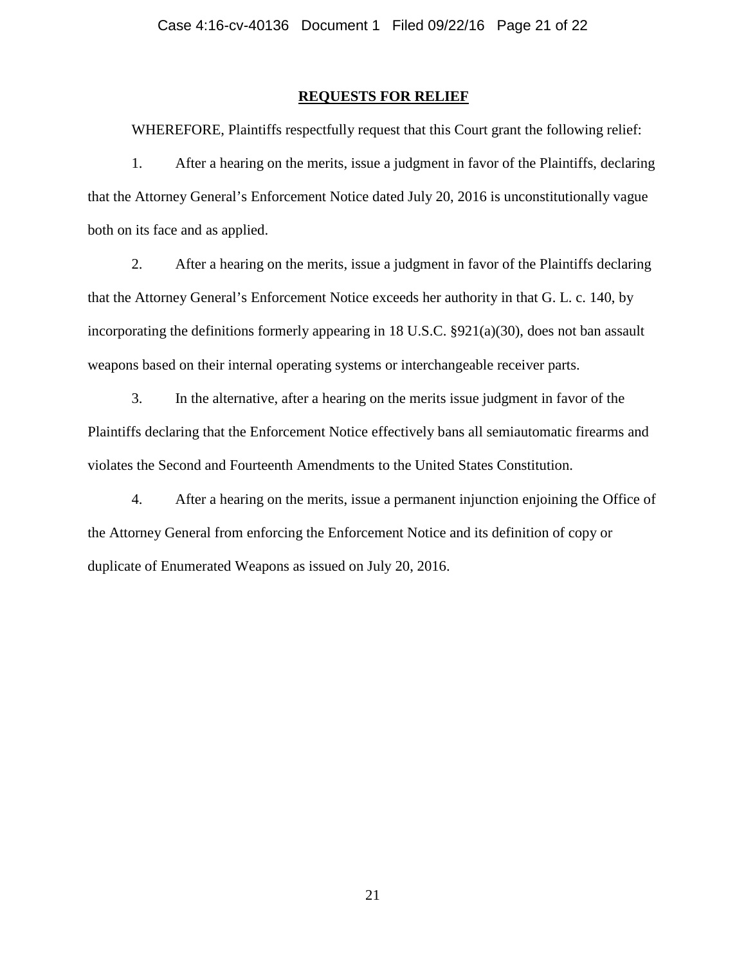#### **REQUESTS FOR RELIEF**

WHEREFORE, Plaintiffs respectfully request that this Court grant the following relief:

1. After a hearing on the merits, issue a judgment in favor of the Plaintiffs, declaring that the Attorney General's Enforcement Notice dated July 20, 2016 is unconstitutionally vague both on its face and as applied.

2. After a hearing on the merits, issue a judgment in favor of the Plaintiffs declaring that the Attorney General's Enforcement Notice exceeds her authority in that G. L. c. 140, by incorporating the definitions formerly appearing in 18 U.S.C.  $\S 921(a)(30)$ , does not ban assault weapons based on their internal operating systems or interchangeable receiver parts.

3. In the alternative, after a hearing on the merits issue judgment in favor of the Plaintiffs declaring that the Enforcement Notice effectively bans all semiautomatic firearms and violates the Second and Fourteenth Amendments to the United States Constitution.

4. After a hearing on the merits, issue a permanent injunction enjoining the Office of the Attorney General from enforcing the Enforcement Notice and its definition of copy or duplicate of Enumerated Weapons as issued on July 20, 2016.